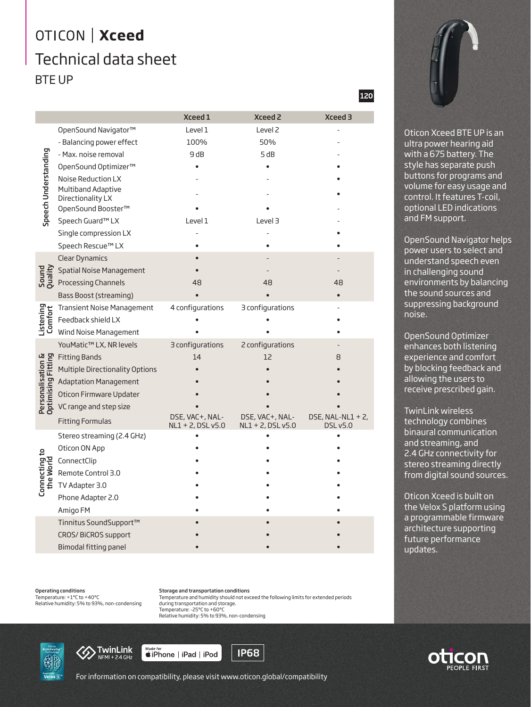## OTICON | Xceed Technical data sheet BTE UP

|                                         |                                         | Xceed 1                              | <b>Xceed 2</b>                          | Xceed 3                          |
|-----------------------------------------|-----------------------------------------|--------------------------------------|-----------------------------------------|----------------------------------|
| Speech Understanding                    | OpenSound Navigator™                    | Level 1                              | Level <sub>2</sub>                      |                                  |
|                                         | - Balancing power effect                | 100%                                 | 50%                                     |                                  |
|                                         | - Max. noise removal                    | 9 dB                                 | 5 dB                                    |                                  |
|                                         | OpenSound Optimizer™                    |                                      |                                         |                                  |
|                                         | Noise Reduction LX                      |                                      |                                         |                                  |
|                                         | Multiband Adaptive                      |                                      |                                         |                                  |
|                                         | Directionality LX<br>OpenSound Booster™ |                                      |                                         |                                  |
|                                         | Speech Guard™ LX                        | Level 1                              | Level 3                                 |                                  |
|                                         | Single compression LX                   |                                      |                                         |                                  |
|                                         | Speech Rescue™ LX                       |                                      |                                         |                                  |
| Sound<br>Quality                        | <b>Clear Dynamics</b>                   |                                      |                                         |                                  |
|                                         | Spatial Noise Management                |                                      |                                         |                                  |
|                                         | <b>Processing Channels</b>              | 48                                   | 48                                      | 48                               |
|                                         | Bass Boost (streaming)                  |                                      |                                         |                                  |
| Listening<br>Comfort                    | <b>Transient Noise Management</b>       | 4 configurations                     | 3 configurations                        |                                  |
|                                         | Feedback shield LX                      |                                      |                                         |                                  |
|                                         | Wind Noise Management                   |                                      |                                         |                                  |
| Personalisation &<br>Optimising Fitting | YouMatic™ LX, NR levels                 | 3 configurations                     | 2 configurations                        |                                  |
|                                         | <b>Fitting Bands</b>                    | 14                                   | 12                                      | 8                                |
|                                         | Multiple Directionality Options         |                                      |                                         |                                  |
|                                         | <b>Adaptation Management</b>            |                                      |                                         |                                  |
|                                         | Oticon Firmware Updater                 |                                      |                                         |                                  |
|                                         | VC range and step size                  |                                      |                                         |                                  |
|                                         | <b>Fitting Formulas</b>                 | DSE, VAC+, NAL-<br>NL1 + 2, DSL v5.0 | DSE, VAC+, NAL-<br>$NL1 + 2$ , DSL v5.0 | DSE, NAL-NL1 + $2$ ,<br>DSL v5.0 |
| Connecting to<br>the World              | Stereo streaming (2.4 GHz)              |                                      |                                         |                                  |
|                                         | Oticon ON App                           |                                      |                                         |                                  |
|                                         | ConnectClip                             |                                      |                                         |                                  |
|                                         | Remote Control 3.0                      |                                      |                                         |                                  |
|                                         | TV Adapter 3.0                          |                                      |                                         |                                  |
|                                         | Phone Adapter 2.0                       |                                      |                                         |                                  |
|                                         | Amigo FM                                |                                      |                                         |                                  |
|                                         | Tinnitus SoundSupport™                  |                                      |                                         |                                  |
|                                         | CROS/BiCROS support                     |                                      |                                         |                                  |
|                                         | Bimodal fitting panel                   |                                      |                                         |                                  |

Operating conditions Temperature: +1°C to +40°C Relative humidity: 5% to 93%, non-condensing Storage and transportation conditions Temperature and humidity should not exceed the following limits for extended periods during transportation and storage. Temperature: -25°C to +60°C Relative humidity: 5% to 93%, non-condensing





siPhone | iPad | iPod

**IP68** 

120



Oticon Xceed BTE UP is an ultra power hearing aid with a 675 battery. The style has separate push buttons for programs and volume for easy usage and control. It features T-coil, optional LED indications and FM support.

OpenSound Navigator helps power users to select and understand speech even in challenging sound environments by balancing the sound sources and suppressing background noise.

OpenSound Optimizer enhances both listening experience and comfort by blocking feedback and allowing the users to receive prescribed gain.

TwinLink wireless technology combines binaural communication and streaming, and 2.4 GHz connectivity for stereo streaming directly from digital sound sources.

Oticon Xceed is built on the Velox S platform using a programmable firmware architecture supporting future performance updates.



For information on compatibility, please visit www.oticon.global/compatibility